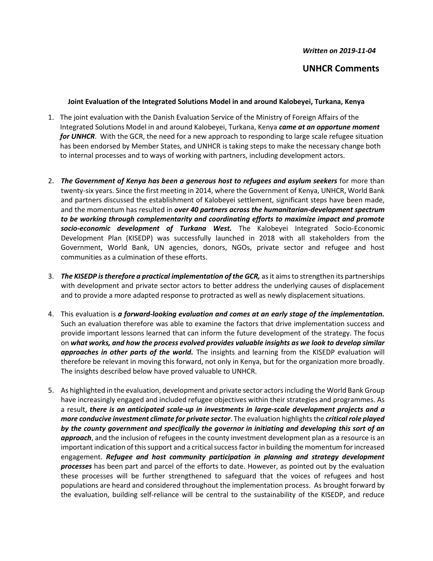*Written on 2019-11-04*

## **UNHCR Comments**

## **Joint Evaluation of the Integrated Solutions Model in and around Kalobeyei, Turkana, Kenya**

- 1. The joint evaluation with the Danish Evaluation Service of the Ministry of Foreign Affairs of the Integrated Solutions Model in and around Kalobeyei, Turkana, Kenya *came at an opportune moment for UNHCR*. With the GCR, the need for a new approach to responding to large scale refugee situation has been endorsed by Member States, and UNHCR is taking steps to make the necessary change both to internal processes and to ways of working with partners, including development actors.
- 2. *The Government of Kenya has been a generous host to refugees and asylum seekers* for more than twenty-six years. Since the first meeting in 2014, where the Government of Kenya, UNHCR, World Bank and partners discussed the establishment of Kalobeyei settlement, significant steps have been made, and the momentum has resulted in *over 40 partners across the humanitarian-development spectrum to be working through complementarity and coordinating efforts to maximize impact and promote socio-economic development of Turkana West.* The Kalobeyei Integrated Socio-Economic Development Plan (KISEDP) was successfully launched in 2018 with all stakeholders from the Government, World Bank, UN agencies, donors, NGOs, private sector and refugee and host communities as a culmination of these efforts.
- 3. *The KISEDP is therefore a practical implementation of the GCR,* as it aims to strengthen its partnerships with development and private sector actors to better address the underlying causes of displacement and to provide a more adapted response to protracted as well as newly displacement situations.
- 4. This evaluation is *a forward-looking evaluation and comes at an early stage of the implementation.* Such an evaluation therefore was able to examine the factors that drive implementation success and provide important lessons learned that can inform the future development of the strategy. The focus on *what works, and how the process evolved provides valuable insights as we look to develop similar approaches in other parts of the world.* The insights and learning from the KISEDP evaluation will therefore be relevant in moving this forward, not only in Kenya, but for the organization more broadly. The insights described below have proved valuable to UNHCR.
- 5. As highlighted in the evaluation, development and private sector actors including the World Bank Group have increasingly engaged and included refugee objectives within their strategies and programmes. As a result, *there is an anticipated scale-up in investments in large-scale development projects and a more conducive investment climate for private sector*. The evaluation highlights the *critical role played by the county government and specifically the governor in initiating and developing this sort of an approach*, and the inclusion of refugees in the county investment development plan as a resource is an important indication of this support and a critical success factor in building the momentum for increased engagement. *Refugee and host community participation in planning and strategy development processes* has been part and parcel of the efforts to date. However, as pointed out by the evaluation these processes will be further strengthened to safeguard that the voices of refugees and host populations are heard and considered throughout the implementation process. As brought forward by the evaluation, building self-reliance will be central to the sustainability of the KISEDP, and reduce